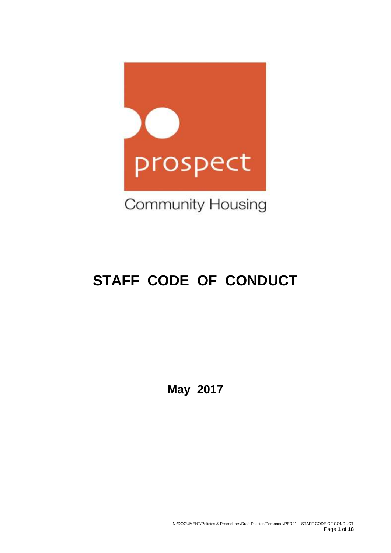

# **STAFF CODE OF CONDUCT**

**May 2017**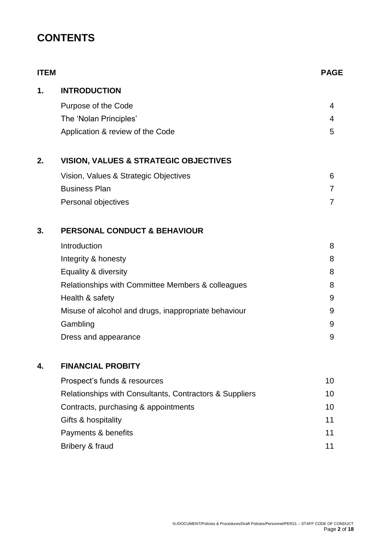# **CONTENTS**

| <b>ITEM</b> |                                                         | <b>PAGE</b> |
|-------------|---------------------------------------------------------|-------------|
| 1.          | <b>INTRODUCTION</b>                                     |             |
|             | Purpose of the Code                                     | 4           |
|             | The 'Nolan Principles'                                  | 4           |
|             | Application & review of the Code                        | 5           |
| 2.          | <b>VISION, VALUES &amp; STRATEGIC OBJECTIVES</b>        |             |
|             | Vision, Values & Strategic Objectives                   | 6           |
|             | <b>Business Plan</b>                                    | 7           |
|             | Personal objectives                                     | 7           |
| 3.          | <b>PERSONAL CONDUCT &amp; BEHAVIOUR</b>                 |             |
|             | Introduction                                            | 8           |
|             | Integrity & honesty                                     | 8           |
|             | Equality & diversity                                    | 8           |
|             | Relationships with Committee Members & colleagues       | 8           |
|             | Health & safety                                         | 9           |
|             | Misuse of alcohol and drugs, inappropriate behaviour    | 9           |
|             | Gambling                                                | 9           |
|             | Dress and appearance                                    | 9           |
| 4.          | <b>FINANCIAL PROBITY</b>                                |             |
|             | Prospect's funds & resources                            | 10          |
|             | Relationships with Consultants, Contractors & Suppliers | 10          |
|             | Contracts, purchasing & appointments                    | 10          |
|             | Gifts & hospitality                                     | 11          |
|             | Payments & benefits                                     | 11          |
|             | Bribery & fraud                                         | 11          |
|             |                                                         |             |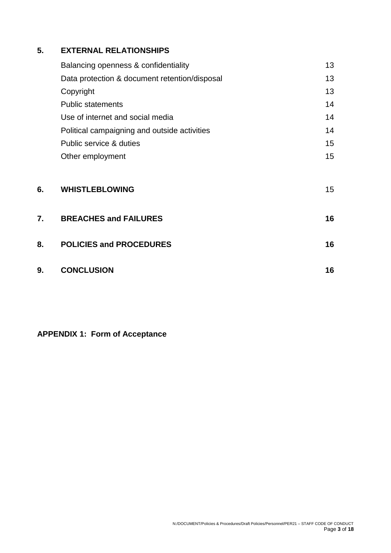## **5. EXTERNAL RELATIONSHIPS**

|    | Balancing openness & confidentiality          | 13 |
|----|-----------------------------------------------|----|
|    | Data protection & document retention/disposal | 13 |
|    | Copyright                                     | 13 |
|    | <b>Public statements</b>                      | 14 |
|    | Use of internet and social media              | 14 |
|    | Political campaigning and outside activities  | 14 |
|    | Public service & duties                       | 15 |
|    | Other employment                              | 15 |
| 6. | <b>WHISTLEBLOWING</b>                         | 15 |
| 7. | <b>BREACHES and FAILURES</b>                  | 16 |
| 8. | <b>POLICIES and PROCEDURES</b>                | 16 |

| 9. | <b>CONCLUSION</b> |  |
|----|-------------------|--|
|    |                   |  |

**APPENDIX 1: Form of Acceptance**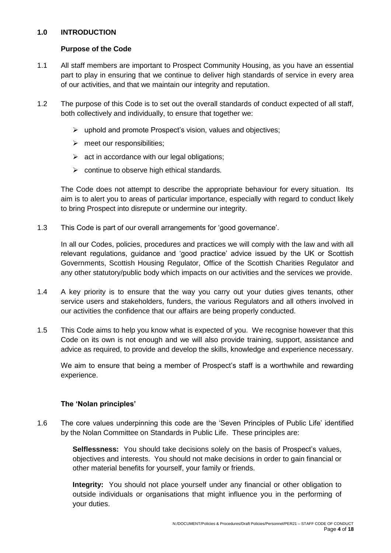#### **1.0 INTRODUCTION**

#### **Purpose of the Code**

- 1.1 All staff members are important to Prospect Community Housing, as you have an essential part to play in ensuring that we continue to deliver high standards of service in every area of our activities, and that we maintain our integrity and reputation.
- 1.2 The purpose of this Code is to set out the overall standards of conduct expected of all staff, both collectively and individually, to ensure that together we:
	- ➢ uphold and promote Prospect's vision, values and objectives;
	- ➢ meet our responsibilities;
	- $\triangleright$  act in accordance with our legal obligations;
	- $\triangleright$  continue to observe high ethical standards.

The Code does not attempt to describe the appropriate behaviour for every situation. Its aim is to alert you to areas of particular importance, especially with regard to conduct likely to bring Prospect into disrepute or undermine our integrity.

1.3 This Code is part of our overall arrangements for 'good governance'.

In all our Codes, policies, procedures and practices we will comply with the law and with all relevant regulations, guidance and 'good practice' advice issued by the UK or Scottish Governments, Scottish Housing Regulator, Office of the Scottish Charities Regulator and any other statutory/public body which impacts on our activities and the services we provide.

- 1.4 A key priority is to ensure that the way you carry out your duties gives tenants, other service users and stakeholders, funders, the various Regulators and all others involved in our activities the confidence that our affairs are being properly conducted.
- 1.5 This Code aims to help you know what is expected of you. We recognise however that this Code on its own is not enough and we will also provide training, support, assistance and advice as required, to provide and develop the skills, knowledge and experience necessary.

We aim to ensure that being a member of Prospect's staff is a worthwhile and rewarding experience.

#### **The 'Nolan principles'**

1.6 The core values underpinning this code are the 'Seven Principles of Public Life' identified by the Nolan Committee on Standards in Public Life. These principles are:

> **Selflessness:** You should take decisions solely on the basis of Prospect's values, objectives and interests. You should not make decisions in order to gain financial or other material benefits for yourself, your family or friends.

> **Integrity:** You should not place yourself under any financial or other obligation to outside individuals or organisations that might influence you in the performing of your duties.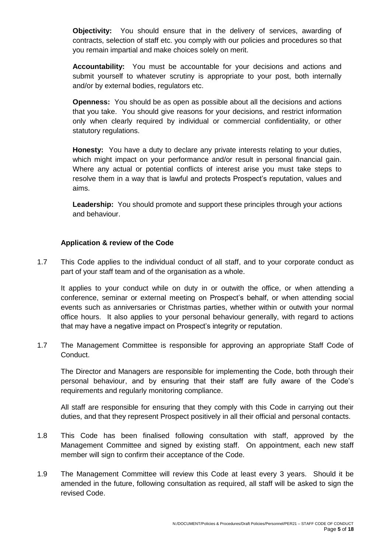**Objectivity:** You should ensure that in the delivery of services, awarding of contracts, selection of staff etc. you comply with our policies and procedures so that you remain impartial and make choices solely on merit.

**Accountability:** You must be accountable for your decisions and actions and submit yourself to whatever scrutiny is appropriate to your post, both internally and/or by external bodies, regulators etc.

**Openness:** You should be as open as possible about all the decisions and actions that you take. You should give reasons for your decisions, and restrict information only when clearly required by individual or commercial confidentiality, or other statutory regulations.

**Honesty:** You have a duty to declare any private interests relating to your duties, which might impact on your performance and/or result in personal financial gain. Where any actual or potential conflicts of interest arise you must take steps to resolve them in a way that is lawful and protects Prospect's reputation, values and aims.

**Leadership:** You should promote and support these principles through your actions and behaviour.

#### **Application & review of the Code**

1.7 This Code applies to the individual conduct of all staff, and to your corporate conduct as part of your staff team and of the organisation as a whole.

It applies to your conduct while on duty in or outwith the office, or when attending a conference, seminar or external meeting on Prospect's behalf, or when attending social events such as anniversaries or Christmas parties, whether within or outwith your normal office hours. It also applies to your personal behaviour generally, with regard to actions that may have a negative impact on Prospect's integrity or reputation.

1.7 The Management Committee is responsible for approving an appropriate Staff Code of Conduct.

The Director and Managers are responsible for implementing the Code, both through their personal behaviour, and by ensuring that their staff are fully aware of the Code's requirements and regularly monitoring compliance.

All staff are responsible for ensuring that they comply with this Code in carrying out their duties, and that they represent Prospect positively in all their official and personal contacts.

- 1.8 This Code has been finalised following consultation with staff, approved by the Management Committee and signed by existing staff. On appointment, each new staff member will sign to confirm their acceptance of the Code.
- 1.9 The Management Committee will review this Code at least every 3 years. Should it be amended in the future, following consultation as required, all staff will be asked to sign the revised Code.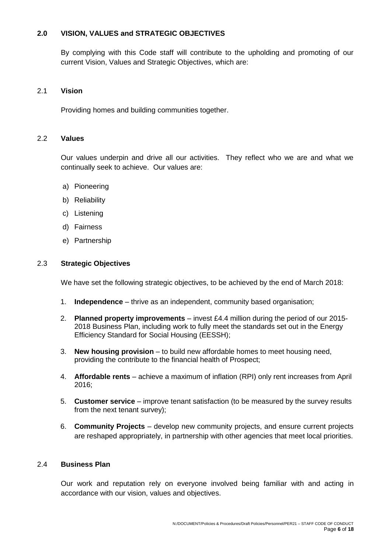#### **2.0 VISION, VALUES and STRATEGIC OBJECTIVES**

By complying with this Code staff will contribute to the upholding and promoting of our current Vision, Values and Strategic Objectives, which are:

#### 2.1 **Vision**

Providing homes and building communities together.

#### 2.2 **Values**

Our values underpin and drive all our activities. They reflect who we are and what we continually seek to achieve. Our values are:

- a) Pioneering
- b) Reliability
- c) Listening
- d) Fairness
- e) Partnership

#### 2.3 **Strategic Objectives**

We have set the following strategic objectives, to be achieved by the end of March 2018:

- 1. **Independence** thrive as an independent, community based organisation;
- 2. **Planned property improvements** invest £4.4 million during the period of our 2015- 2018 Business Plan, including work to fully meet the standards set out in the Energy Efficiency Standard for Social Housing (EESSH);
- 3. **New housing provision** to build new affordable homes to meet housing need, providing the contribute to the financial health of Prospect;
- 4. **Affordable rents** achieve a maximum of inflation (RPI) only rent increases from April 2016;
- 5. **Customer service** improve tenant satisfaction (to be measured by the survey results from the next tenant survey);
- 6. **Community Projects** develop new community projects, and ensure current projects are reshaped appropriately, in partnership with other agencies that meet local priorities.

#### 2.4 **Business Plan**

Our work and reputation rely on everyone involved being familiar with and acting in accordance with our vision, values and objectives.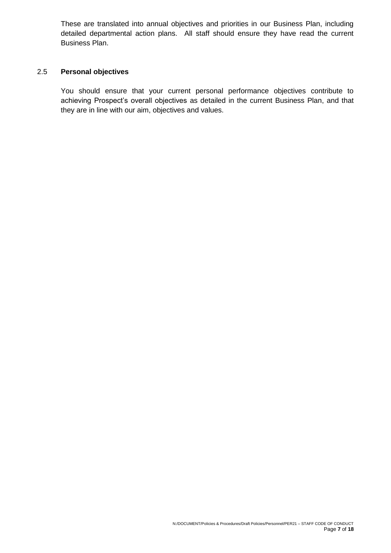These are translated into annual objectives and priorities in our Business Plan, including detailed departmental action plans. All staff should ensure they have read the current Business Plan.

#### 2.5 **Personal objectives**

You should ensure that your current personal performance objectives contribute to achieving Prospect's overall objectives as detailed in the current Business Plan, and that they are in line with our aim, objectives and values.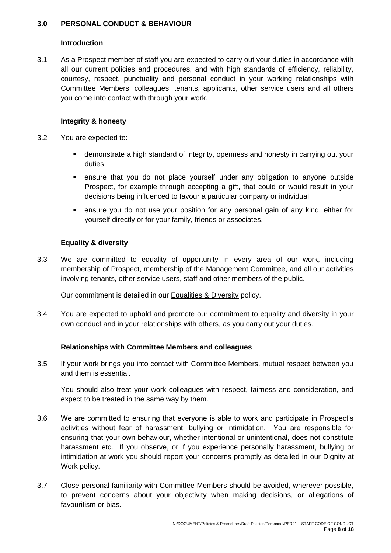#### **3.0 PERSONAL CONDUCT & BEHAVIOUR**

#### **Introduction**

3.1 As a Prospect member of staff you are expected to carry out your duties in accordance with all our current policies and procedures, and with high standards of efficiency, reliability, courtesy, respect, punctuality and personal conduct in your working relationships with Committee Members, colleagues, tenants, applicants, other service users and all others you come into contact with through your work.

#### **Integrity & honesty**

- 3.2 You are expected to:
	- **EXED** demonstrate a high standard of integrity, openness and honesty in carrying out your duties;
	- ensure that you do not place yourself under any obligation to anyone outside Prospect, for example through accepting a gift, that could or would result in your decisions being influenced to favour a particular company or individual;
	- ensure you do not use your position for any personal gain of any kind, either for yourself directly or for your family, friends or associates.

#### **Equality & diversity**

3.3 We are committed to equality of opportunity in every area of our work, including membership of Prospect, membership of the Management Committee, and all our activities involving tenants, other service users, staff and other members of the public.

Our commitment is detailed in our Equalities & Diversity policy.

3.4 You are expected to uphold and promote our commitment to equality and diversity in your own conduct and in your relationships with others, as you carry out your duties.

#### **Relationships with Committee Members and colleagues**

3.5 If your work brings you into contact with Committee Members, mutual respect between you and them is essential.

You should also treat your work colleagues with respect, fairness and consideration, and expect to be treated in the same way by them.

- 3.6 We are committed to ensuring that everyone is able to work and participate in Prospect's activities without fear of harassment, bullying or intimidation. You are responsible for ensuring that your own behaviour, whether intentional or unintentional, does not constitute harassment etc. If you observe, or if you experience personally harassment, bullying or intimidation at work you should report your concerns promptly as detailed in our Dignity at Work policy.
- 3.7 Close personal familiarity with Committee Members should be avoided, wherever possible, to prevent concerns about your objectivity when making decisions, or allegations of favouritism or bias.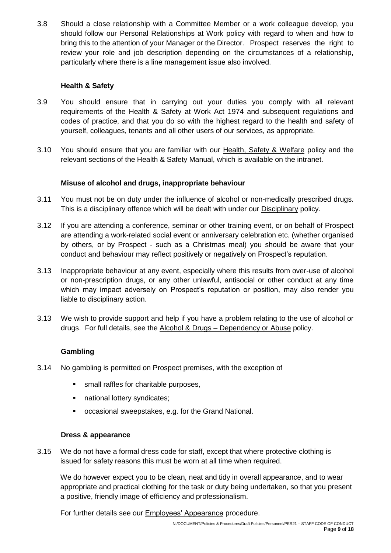3.8 Should a close relationship with a Committee Member or a work colleague develop, you should follow our Personal Relationships at Work policy with regard to when and how to bring this to the attention of your Manager or the Director. Prospect reserves the right to review your role and job description depending on the circumstances of a relationship, particularly where there is a line management issue also involved.

#### **Health & Safety**

- 3.9 You should ensure that in carrying out your duties you comply with all relevant requirements of the Health & Safety at Work Act 1974 and subsequent regulations and codes of practice, and that you do so with the highest regard to the health and safety of yourself, colleagues, tenants and all other users of our services, as appropriate.
- 3.10 You should ensure that you are familiar with our Health, Safety & Welfare policy and the relevant sections of the Health & Safety Manual, which is available on the intranet.

#### **Misuse of alcohol and drugs, inappropriate behaviour**

- 3.11 You must not be on duty under the influence of alcohol or non-medically prescribed drugs. This is a disciplinary offence which will be dealt with under our **Disciplinary policy**.
- 3.12 If you are attending a conference, seminar or other training event, or on behalf of Prospect are attending a work-related social event or anniversary celebration etc. (whether organised by others, or by Prospect - such as a Christmas meal) you should be aware that your conduct and behaviour may reflect positively or negatively on Prospect's reputation.
- 3.13 Inappropriate behaviour at any event, especially where this results from over-use of alcohol or non-prescription drugs, or any other unlawful, antisocial or other conduct at any time which may impact adversely on Prospect's reputation or position, may also render you liable to disciplinary action.
- 3.13 We wish to provide support and help if you have a problem relating to the use of alcohol or drugs. For full details, see the Alcohol & Drugs – Dependency or Abuse policy.

#### **Gambling**

- 3.14 No gambling is permitted on Prospect premises, with the exception of
	- small raffles for charitable purposes,
	- national lottery syndicates;
	- occasional sweepstakes, e.g. for the Grand National.

#### **Dress & appearance**

3.15 We do not have a formal dress code for staff, except that where protective clothing is issued for safety reasons this must be worn at all time when required.

We do however expect you to be clean, neat and tidy in overall appearance, and to wear appropriate and practical clothing for the task or duty being undertaken, so that you present a positive, friendly image of efficiency and professionalism.

For further details see our Employees' Appearance procedure.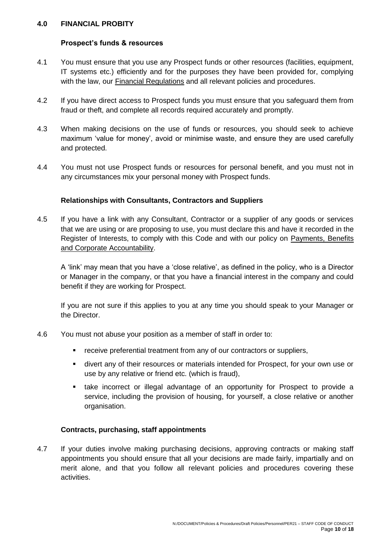#### **4.0 FINANCIAL PROBITY**

#### **Prospect's funds & resources**

- 4.1 You must ensure that you use any Prospect funds or other resources (facilities, equipment, IT systems etc.) efficiently and for the purposes they have been provided for, complying with the law, our Financial Regulations and all relevant policies and procedures.
- 4.2 If you have direct access to Prospect funds you must ensure that you safeguard them from fraud or theft, and complete all records required accurately and promptly.
- 4.3 When making decisions on the use of funds or resources, you should seek to achieve maximum 'value for money', avoid or minimise waste, and ensure they are used carefully and protected.
- 4.4 You must not use Prospect funds or resources for personal benefit, and you must not in any circumstances mix your personal money with Prospect funds.

#### **Relationships with Consultants, Contractors and Suppliers**

4.5 If you have a link with any Consultant, Contractor or a supplier of any goods or services that we are using or are proposing to use, you must declare this and have it recorded in the Register of Interests, to comply with this Code and with our policy on Payments, Benefits and Corporate Accountability.

A 'link' may mean that you have a 'close relative', as defined in the policy, who is a Director or Manager in the company, or that you have a financial interest in the company and could benefit if they are working for Prospect.

If you are not sure if this applies to you at any time you should speak to your Manager or the Director.

- 4.6 You must not abuse your position as a member of staff in order to:
	- receive preferential treatment from any of our contractors or suppliers,
	- divert any of their resources or materials intended for Prospect, for your own use or use by any relative or friend etc. (which is fraud),
	- take incorrect or illegal advantage of an opportunity for Prospect to provide a service, including the provision of housing, for yourself, a close relative or another organisation.

#### **Contracts, purchasing, staff appointments**

4.7 If your duties involve making purchasing decisions, approving contracts or making staff appointments you should ensure that all your decisions are made fairly, impartially and on merit alone, and that you follow all relevant policies and procedures covering these activities.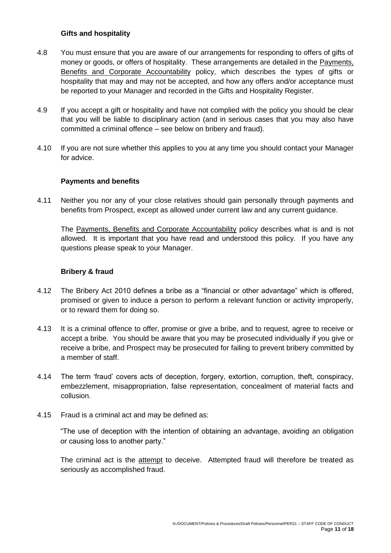#### **Gifts and hospitality**

- 4.8 You must ensure that you are aware of our arrangements for responding to offers of gifts of money or goods, or offers of hospitality. These arrangements are detailed in the Payments, Benefits and Corporate Accountability policy, which describes the types of gifts or hospitality that may and may not be accepted, and how any offers and/or acceptance must be reported to your Manager and recorded in the Gifts and Hospitality Register.
- 4.9 If you accept a gift or hospitality and have not complied with the policy you should be clear that you will be liable to disciplinary action (and in serious cases that you may also have committed a criminal offence – see below on bribery and fraud).
- 4.10 If you are not sure whether this applies to you at any time you should contact your Manager for advice.

#### **Payments and benefits**

4.11 Neither you nor any of your close relatives should gain personally through payments and benefits from Prospect, except as allowed under current law and any current guidance.

The Payments, Benefits and Corporate Accountability policy describes what is and is not allowed. It is important that you have read and understood this policy. If you have any questions please speak to your Manager.

#### **Bribery & fraud**

- 4.12 The Bribery Act 2010 defines a bribe as a "financial or other advantage" which is offered, promised or given to induce a person to perform a relevant function or activity improperly, or to reward them for doing so.
- 4.13 It is a criminal offence to offer, promise or give a bribe, and to request, agree to receive or accept a bribe. You should be aware that you may be prosecuted individually if you give or receive a bribe, and Prospect may be prosecuted for failing to prevent bribery committed by a member of staff.
- 4.14 The term 'fraud' covers acts of deception, forgery, extortion, corruption, theft, conspiracy, embezzlement, misappropriation, false representation, concealment of material facts and collusion.
- 4.15 Fraud is a criminal act and may be defined as:

"The use of deception with the intention of obtaining an advantage, avoiding an obligation or causing loss to another party."

The criminal act is the attempt to deceive. Attempted fraud will therefore be treated as seriously as accomplished fraud.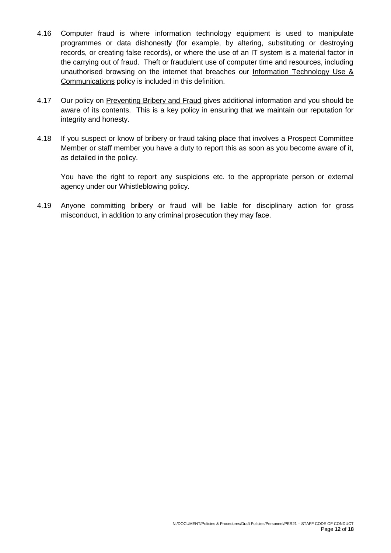- 4.16 Computer fraud is where information technology equipment is used to manipulate programmes or data dishonestly (for example, by altering, substituting or destroying records, or creating false records), or where the use of an IT system is a material factor in the carrying out of fraud. Theft or fraudulent use of computer time and resources, including unauthorised browsing on the internet that breaches our Information Technology Use & Communications policy is included in this definition.
- 4.17 Our policy on Preventing Bribery and Fraud gives additional information and you should be aware of its contents. This is a key policy in ensuring that we maintain our reputation for integrity and honesty.
- 4.18 If you suspect or know of bribery or fraud taking place that involves a Prospect Committee Member or staff member you have a duty to report this as soon as you become aware of it, as detailed in the policy.

You have the right to report any suspicions etc. to the appropriate person or external agency under our Whistleblowing policy.

4.19 Anyone committing bribery or fraud will be liable for disciplinary action for gross misconduct, in addition to any criminal prosecution they may face.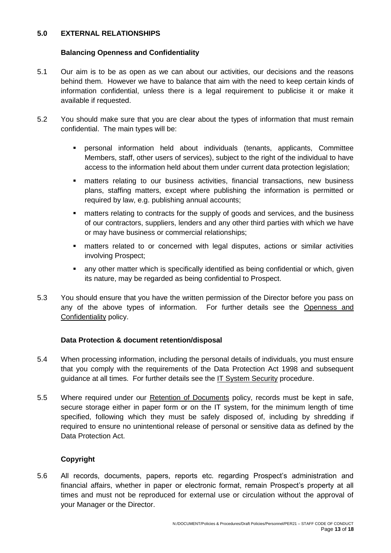#### **5.0 EXTERNAL RELATIONSHIPS**

#### **Balancing Openness and Confidentiality**

- 5.1 Our aim is to be as open as we can about our activities, our decisions and the reasons behind them. However we have to balance that aim with the need to keep certain kinds of information confidential, unless there is a legal requirement to publicise it or make it available if requested.
- 5.2 You should make sure that you are clear about the types of information that must remain confidential. The main types will be:
	- personal information held about individuals (tenants, applicants, Committee Members, staff, other users of services), subject to the right of the individual to have access to the information held about them under current data protection legislation;
	- matters relating to our business activities, financial transactions, new business plans, staffing matters, except where publishing the information is permitted or required by law, e.g. publishing annual accounts;
	- matters relating to contracts for the supply of goods and services, and the business of our contractors, suppliers, lenders and any other third parties with which we have or may have business or commercial relationships;
	- matters related to or concerned with legal disputes, actions or similar activities involving Prospect;
	- **EXECT** any other matter which is specifically identified as being confidential or which, given its nature, may be regarded as being confidential to Prospect.
- 5.3 You should ensure that you have the written permission of the Director before you pass on any of the above types of information. For further details see the Openness and Confidentiality policy.

#### **Data Protection & document retention/disposal**

- 5.4 When processing information, including the personal details of individuals, you must ensure that you comply with the requirements of the Data Protection Act 1998 and subsequent guidance at all times. For further details see the IT System Security procedure.
- 5.5 Where required under our Retention of Documents policy, records must be kept in safe, secure storage either in paper form or on the IT system, for the minimum length of time specified, following which they must be safely disposed of, including by shredding if required to ensure no unintentional release of personal or sensitive data as defined by the Data Protection Act.

#### **Copyright**

5.6 All records, documents, papers, reports etc. regarding Prospect's administration and financial affairs, whether in paper or electronic format, remain Prospect's property at all times and must not be reproduced for external use or circulation without the approval of your Manager or the Director.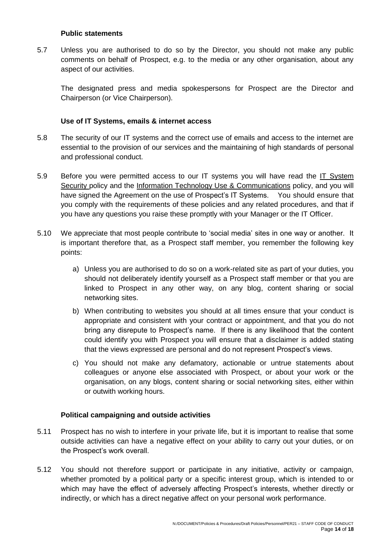#### **Public statements**

5.7 Unless you are authorised to do so by the Director, you should not make any public comments on behalf of Prospect, e.g. to the media or any other organisation, about any aspect of our activities.

The designated press and media spokespersons for Prospect are the Director and Chairperson (or Vice Chairperson).

#### **Use of IT Systems, emails & internet access**

- 5.8 The security of our IT systems and the correct use of emails and access to the internet are essential to the provision of our services and the maintaining of high standards of personal and professional conduct.
- 5.9 Before you were permitted access to our IT systems you will have read the IT System Security policy and the Information Technology Use & Communications policy, and you will have signed the Agreement on the use of Prospect's IT Systems. You should ensure that you comply with the requirements of these policies and any related procedures, and that if you have any questions you raise these promptly with your Manager or the IT Officer.
- 5.10 We appreciate that most people contribute to 'social media' sites in one way or another. It is important therefore that, as a Prospect staff member, you remember the following key points:
	- a) Unless you are authorised to do so on a work-related site as part of your duties, you should not deliberately identify yourself as a Prospect staff member or that you are linked to Prospect in any other way, on any blog, content sharing or social networking sites.
	- b) When contributing to websites you should at all times ensure that your conduct is appropriate and consistent with your contract or appointment, and that you do not bring any disrepute to Prospect's name. If there is any likelihood that the content could identify you with Prospect you will ensure that a disclaimer is added stating that the views expressed are personal and do not represent Prospect's views.
	- c) You should not make any defamatory, actionable or untrue statements about colleagues or anyone else associated with Prospect, or about your work or the organisation, on any blogs, content sharing or social networking sites, either within or outwith working hours.

#### **Political campaigning and outside activities**

- 5.11 Prospect has no wish to interfere in your private life, but it is important to realise that some outside activities can have a negative effect on your ability to carry out your duties, or on the Prospect's work overall.
- 5.12 You should not therefore support or participate in any initiative, activity or campaign, whether promoted by a political party or a specific interest group, which is intended to or which may have the effect of adversely affecting Prospect's interests, whether directly or indirectly, or which has a direct negative affect on your personal work performance.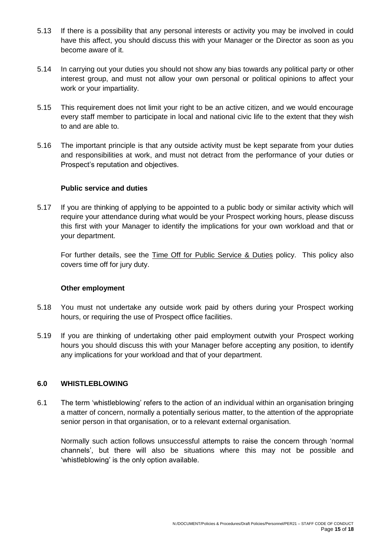- 5.13 If there is a possibility that any personal interests or activity you may be involved in could have this affect, you should discuss this with your Manager or the Director as soon as you become aware of it.
- 5.14 In carrying out your duties you should not show any bias towards any political party or other interest group, and must not allow your own personal or political opinions to affect your work or your impartiality.
- 5.15 This requirement does not limit your right to be an active citizen, and we would encourage every staff member to participate in local and national civic life to the extent that they wish to and are able to.
- 5.16 The important principle is that any outside activity must be kept separate from your duties and responsibilities at work, and must not detract from the performance of your duties or Prospect's reputation and objectives.

#### **Public service and duties**

5.17 If you are thinking of applying to be appointed to a public body or similar activity which will require your attendance during what would be your Prospect working hours, please discuss this first with your Manager to identify the implications for your own workload and that or your department.

For further details, see the Time Off for Public Service & Duties policy. This policy also covers time off for jury duty.

#### **Other employment**

- 5.18 You must not undertake any outside work paid by others during your Prospect working hours, or requiring the use of Prospect office facilities.
- 5.19 If you are thinking of undertaking other paid employment outwith your Prospect working hours you should discuss this with your Manager before accepting any position, to identify any implications for your workload and that of your department.

#### **6.0 WHISTLEBLOWING**

6.1 The term 'whistleblowing' refers to the action of an individual within an organisation bringing a matter of concern, normally a potentially serious matter, to the attention of the appropriate senior person in that organisation, or to a relevant external organisation.

Normally such action follows unsuccessful attempts to raise the concern through 'normal channels', but there will also be situations where this may not be possible and 'whistleblowing' is the only option available.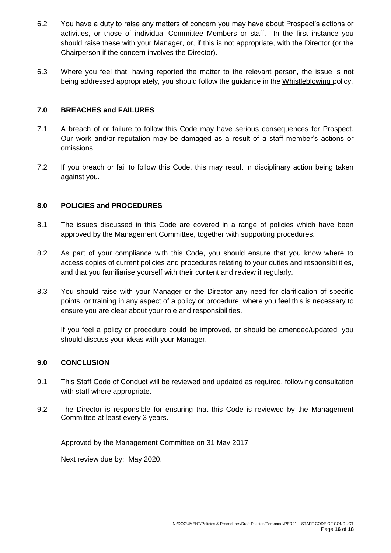- 6.2 You have a duty to raise any matters of concern you may have about Prospect's actions or activities, or those of individual Committee Members or staff. In the first instance you should raise these with your Manager, or, if this is not appropriate, with the Director (or the Chairperson if the concern involves the Director).
- 6.3 Where you feel that, having reported the matter to the relevant person, the issue is not being addressed appropriately, you should follow the guidance in the Whistleblowing policy.

#### **7.0 BREACHES and FAILURES**

- 7.1 A breach of or failure to follow this Code may have serious consequences for Prospect. Our work and/or reputation may be damaged as a result of a staff member's actions or omissions.
- 7.2 If you breach or fail to follow this Code, this may result in disciplinary action being taken against you.

#### **8.0 POLICIES and PROCEDURES**

- 8.1 The issues discussed in this Code are covered in a range of policies which have been approved by the Management Committee, together with supporting procedures.
- 8.2 As part of your compliance with this Code, you should ensure that you know where to access copies of current policies and procedures relating to your duties and responsibilities, and that you familiarise yourself with their content and review it regularly.
- 8.3 You should raise with your Manager or the Director any need for clarification of specific points, or training in any aspect of a policy or procedure, where you feel this is necessary to ensure you are clear about your role and responsibilities.

If you feel a policy or procedure could be improved, or should be amended/updated, you should discuss your ideas with your Manager.

#### **9.0 CONCLUSION**

- 9.1 This Staff Code of Conduct will be reviewed and updated as required, following consultation with staff where appropriate.
- 9.2 The Director is responsible for ensuring that this Code is reviewed by the Management Committee at least every 3 years.

Approved by the Management Committee on 31 May 2017

Next review due by: May 2020.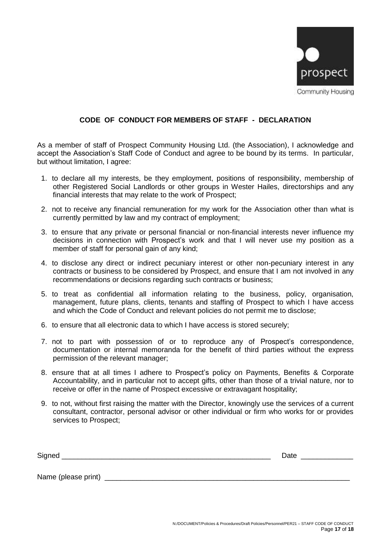

#### **CODE OF CONDUCT FOR MEMBERS OF STAFF - DECLARATION**

As a member of staff of Prospect Community Housing Ltd. (the Association), I acknowledge and accept the Association's Staff Code of Conduct and agree to be bound by its terms. In particular, but without limitation, I agree:

- 1. to declare all my interests, be they employment, positions of responsibility, membership of other Registered Social Landlords or other groups in Wester Hailes, directorships and any financial interests that may relate to the work of Prospect;
- 2. not to receive any financial remuneration for my work for the Association other than what is currently permitted by law and my contract of employment;
- 3. to ensure that any private or personal financial or non-financial interests never influence my decisions in connection with Prospect's work and that I will never use my position as a member of staff for personal gain of any kind;
- 4. to disclose any direct or indirect pecuniary interest or other non-pecuniary interest in any contracts or business to be considered by Prospect, and ensure that I am not involved in any recommendations or decisions regarding such contracts or business;
- 5. to treat as confidential all information relating to the business, policy, organisation, management, future plans, clients, tenants and staffing of Prospect to which I have access and which the Code of Conduct and relevant policies do not permit me to disclose;
- 6. to ensure that all electronic data to which I have access is stored securely;
- 7. not to part with possession of or to reproduce any of Prospect's correspondence, documentation or internal memoranda for the benefit of third parties without the express permission of the relevant manager;
- 8. ensure that at all times I adhere to Prospect's policy on Payments, Benefits & Corporate Accountability, and in particular not to accept gifts, other than those of a trivial nature, nor to receive or offer in the name of Prospect excessive or extravagant hospitality;
- 9. to not, without first raising the matter with the Director, knowingly use the services of a current consultant, contractor, personal advisor or other individual or firm who works for or provides services to Prospect;

| $\tilde{\phantom{a}}$ | .    |
|-----------------------|------|
| $\neg$                | ____ |
|                       |      |

Name (please print)